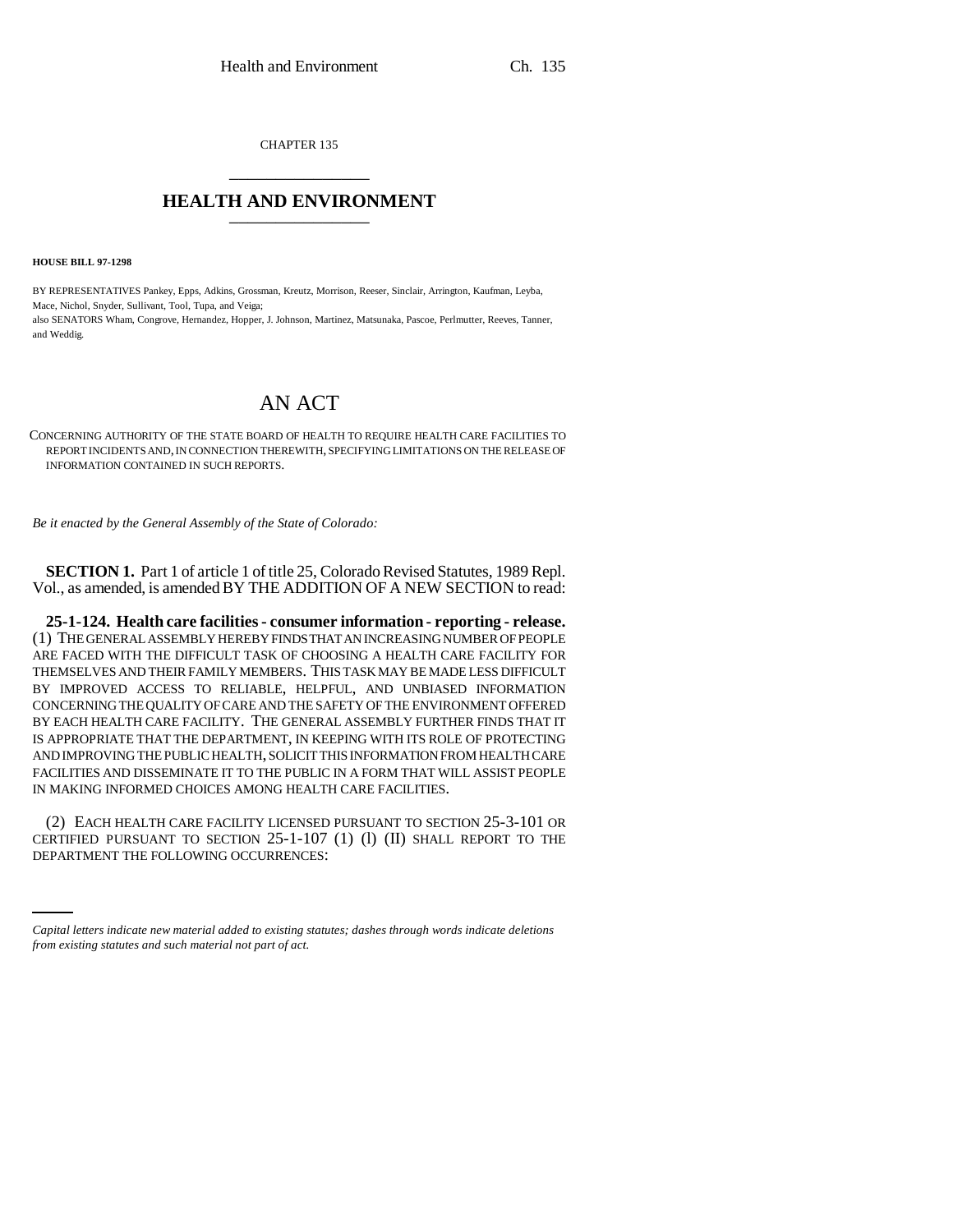CHAPTER 135 \_\_\_\_\_\_\_\_\_\_\_\_\_\_\_

## **HEALTH AND ENVIRONMENT** \_\_\_\_\_\_\_\_\_\_\_\_\_\_\_

**HOUSE BILL 97-1298**

BY REPRESENTATIVES Pankey, Epps, Adkins, Grossman, Kreutz, Morrison, Reeser, Sinclair, Arrington, Kaufman, Leyba, Mace, Nichol, Snyder, Sullivant, Tool, Tupa, and Veiga; also SENATORS Wham, Congrove, Hernandez, Hopper, J. Johnson, Martinez, Matsunaka, Pascoe, Perlmutter, Reeves, Tanner, and Weddig.

## AN ACT

CONCERNING AUTHORITY OF THE STATE BOARD OF HEALTH TO REQUIRE HEALTH CARE FACILITIES TO REPORT INCIDENTS AND, IN CONNECTION THEREWITH, SPECIFYING LIMITATIONS ON THE RELEASE OF INFORMATION CONTAINED IN SUCH REPORTS.

*Be it enacted by the General Assembly of the State of Colorado:*

**SECTION 1.** Part 1 of article 1 of title 25, Colorado Revised Statutes, 1989 Repl. Vol., as amended, is amended BY THE ADDITION OF A NEW SECTION to read:

**25-1-124. Health care facilities - consumer information - reporting - release.** (1) THE GENERAL ASSEMBLY HEREBY FINDS THAT AN INCREASING NUMBER OF PEOPLE ARE FACED WITH THE DIFFICULT TASK OF CHOOSING A HEALTH CARE FACILITY FOR THEMSELVES AND THEIR FAMILY MEMBERS. THIS TASK MAY BE MADE LESS DIFFICULT BY IMPROVED ACCESS TO RELIABLE, HELPFUL, AND UNBIASED INFORMATION CONCERNING THE QUALITY OF CARE AND THE SAFETY OF THE ENVIRONMENT OFFERED BY EACH HEALTH CARE FACILITY. THE GENERAL ASSEMBLY FURTHER FINDS THAT IT IS APPROPRIATE THAT THE DEPARTMENT, IN KEEPING WITH ITS ROLE OF PROTECTING AND IMPROVING THE PUBLIC HEALTH, SOLICIT THIS INFORMATION FROM HEALTH CARE FACILITIES AND DISSEMINATE IT TO THE PUBLIC IN A FORM THAT WILL ASSIST PEOPLE IN MAKING INFORMED CHOICES AMONG HEALTH CARE FACILITIES.

CERTIFIED PURSUANT TO SECTION 25-1-107 (1) (l) (II) SHALL REPORT TO THE (2) EACH HEALTH CARE FACILITY LICENSED PURSUANT TO SECTION 25-3-101 OR DEPARTMENT THE FOLLOWING OCCURRENCES:

*Capital letters indicate new material added to existing statutes; dashes through words indicate deletions from existing statutes and such material not part of act.*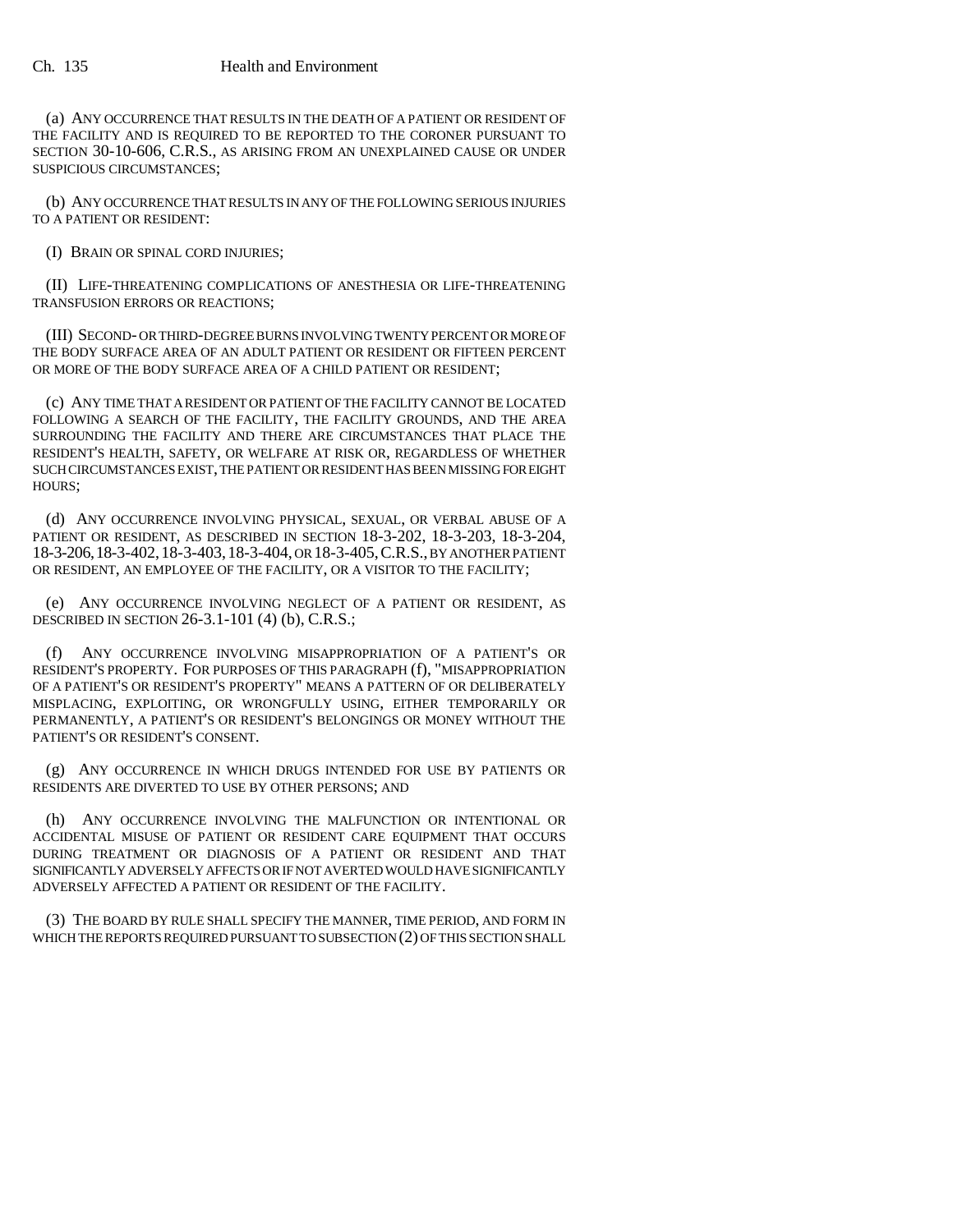(a) ANY OCCURRENCE THAT RESULTS IN THE DEATH OF A PATIENT OR RESIDENT OF THE FACILITY AND IS REQUIRED TO BE REPORTED TO THE CORONER PURSUANT TO SECTION 30-10-606, C.R.S., AS ARISING FROM AN UNEXPLAINED CAUSE OR UNDER SUSPICIOUS CIRCUMSTANCES;

(b) ANY OCCURRENCE THAT RESULTS IN ANY OF THE FOLLOWING SERIOUS INJURIES TO A PATIENT OR RESIDENT:

(I) BRAIN OR SPINAL CORD INJURIES;

(II) LIFE-THREATENING COMPLICATIONS OF ANESTHESIA OR LIFE-THREATENING TRANSFUSION ERRORS OR REACTIONS;

(III) SECOND- OR THIRD-DEGREE BURNS INVOLVING TWENTY PERCENT OR MORE OF THE BODY SURFACE AREA OF AN ADULT PATIENT OR RESIDENT OR FIFTEEN PERCENT OR MORE OF THE BODY SURFACE AREA OF A CHILD PATIENT OR RESIDENT;

(c) ANY TIME THAT A RESIDENT OR PATIENT OF THE FACILITY CANNOT BE LOCATED FOLLOWING A SEARCH OF THE FACILITY, THE FACILITY GROUNDS, AND THE AREA SURROUNDING THE FACILITY AND THERE ARE CIRCUMSTANCES THAT PLACE THE RESIDENT'S HEALTH, SAFETY, OR WELFARE AT RISK OR, REGARDLESS OF WHETHER SUCH CIRCUMSTANCES EXIST, THE PATIENT OR RESIDENT HAS BEEN MISSING FOR EIGHT HOURS;

(d) ANY OCCURRENCE INVOLVING PHYSICAL, SEXUAL, OR VERBAL ABUSE OF A PATIENT OR RESIDENT, AS DESCRIBED IN SECTION 18-3-202, 18-3-203, 18-3-204, 18-3-206,18-3-402,18-3-403,18-3-404, OR 18-3-405,C.R.S., BY ANOTHER PATIENT OR RESIDENT, AN EMPLOYEE OF THE FACILITY, OR A VISITOR TO THE FACILITY;

(e) ANY OCCURRENCE INVOLVING NEGLECT OF A PATIENT OR RESIDENT, AS DESCRIBED IN SECTION 26-3.1-101 (4) (b), C.R.S.;

(f) ANY OCCURRENCE INVOLVING MISAPPROPRIATION OF A PATIENT'S OR RESIDENT'S PROPERTY. FOR PURPOSES OF THIS PARAGRAPH (f), "MISAPPROPRIATION OF A PATIENT'S OR RESIDENT'S PROPERTY" MEANS A PATTERN OF OR DELIBERATELY MISPLACING, EXPLOITING, OR WRONGFULLY USING, EITHER TEMPORARILY OR PERMANENTLY, A PATIENT'S OR RESIDENT'S BELONGINGS OR MONEY WITHOUT THE PATIENT'S OR RESIDENT'S CONSENT.

(g) ANY OCCURRENCE IN WHICH DRUGS INTENDED FOR USE BY PATIENTS OR RESIDENTS ARE DIVERTED TO USE BY OTHER PERSONS; AND

(h) ANY OCCURRENCE INVOLVING THE MALFUNCTION OR INTENTIONAL OR ACCIDENTAL MISUSE OF PATIENT OR RESIDENT CARE EQUIPMENT THAT OCCURS DURING TREATMENT OR DIAGNOSIS OF A PATIENT OR RESIDENT AND THAT SIGNIFICANTLY ADVERSELY AFFECTS OR IF NOT AVERTED WOULD HAVE SIGNIFICANTLY ADVERSELY AFFECTED A PATIENT OR RESIDENT OF THE FACILITY.

(3) THE BOARD BY RULE SHALL SPECIFY THE MANNER, TIME PERIOD, AND FORM IN WHICH THE REPORTS REQUIRED PURSUANT TO SUBSECTION (2) OF THIS SECTION SHALL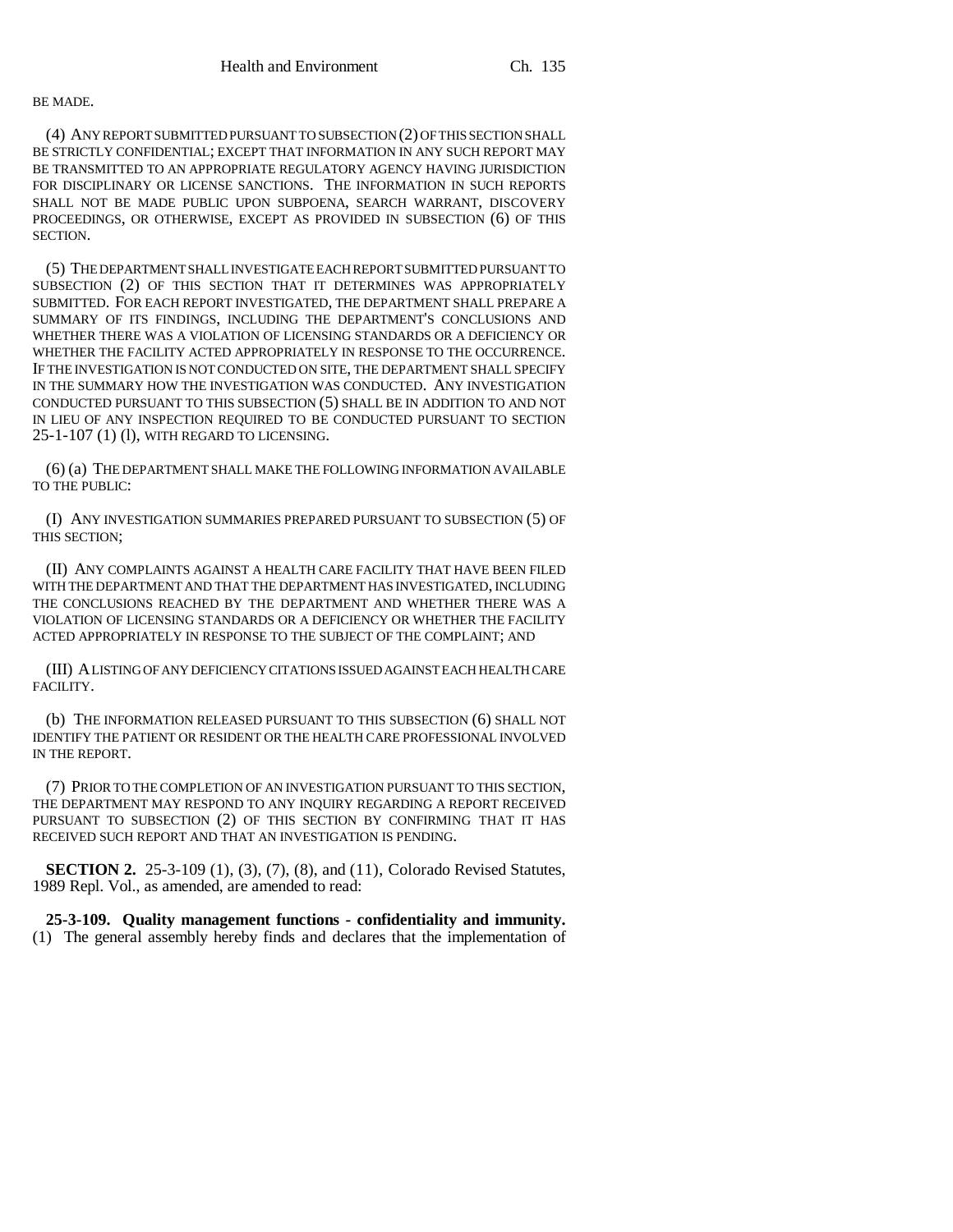## BE MADE.

(4) ANY REPORT SUBMITTED PURSUANT TO SUBSECTION (2) OF THIS SECTION SHALL BE STRICTLY CONFIDENTIAL; EXCEPT THAT INFORMATION IN ANY SUCH REPORT MAY BE TRANSMITTED TO AN APPROPRIATE REGULATORY AGENCY HAVING JURISDICTION FOR DISCIPLINARY OR LICENSE SANCTIONS. THE INFORMATION IN SUCH REPORTS SHALL NOT BE MADE PUBLIC UPON SUBPOENA, SEARCH WARRANT, DISCOVERY PROCEEDINGS, OR OTHERWISE, EXCEPT AS PROVIDED IN SUBSECTION (6) OF THIS SECTION.

(5) THE DEPARTMENT SHALL INVESTIGATE EACH REPORT SUBMITTED PURSUANT TO SUBSECTION (2) OF THIS SECTION THAT IT DETERMINES WAS APPROPRIATELY SUBMITTED. FOR EACH REPORT INVESTIGATED, THE DEPARTMENT SHALL PREPARE A SUMMARY OF ITS FINDINGS, INCLUDING THE DEPARTMENT'S CONCLUSIONS AND WHETHER THERE WAS A VIOLATION OF LICENSING STANDARDS OR A DEFICIENCY OR WHETHER THE FACILITY ACTED APPROPRIATELY IN RESPONSE TO THE OCCURRENCE. IF THE INVESTIGATION IS NOT CONDUCTED ON SITE, THE DEPARTMENT SHALL SPECIFY IN THE SUMMARY HOW THE INVESTIGATION WAS CONDUCTED. ANY INVESTIGATION CONDUCTED PURSUANT TO THIS SUBSECTION (5) SHALL BE IN ADDITION TO AND NOT IN LIEU OF ANY INSPECTION REQUIRED TO BE CONDUCTED PURSUANT TO SECTION 25-1-107 (1) (l), WITH REGARD TO LICENSING.

(6) (a) THE DEPARTMENT SHALL MAKE THE FOLLOWING INFORMATION AVAILABLE TO THE PUBLIC:

(I) ANY INVESTIGATION SUMMARIES PREPARED PURSUANT TO SUBSECTION (5) OF THIS SECTION;

(II) ANY COMPLAINTS AGAINST A HEALTH CARE FACILITY THAT HAVE BEEN FILED WITH THE DEPARTMENT AND THAT THE DEPARTMENT HAS INVESTIGATED, INCLUDING THE CONCLUSIONS REACHED BY THE DEPARTMENT AND WHETHER THERE WAS A VIOLATION OF LICENSING STANDARDS OR A DEFICIENCY OR WHETHER THE FACILITY ACTED APPROPRIATELY IN RESPONSE TO THE SUBJECT OF THE COMPLAINT; AND

(III) A LISTING OF ANY DEFICIENCY CITATIONS ISSUED AGAINST EACH HEALTH CARE FACILITY.

(b) THE INFORMATION RELEASED PURSUANT TO THIS SUBSECTION (6) SHALL NOT IDENTIFY THE PATIENT OR RESIDENT OR THE HEALTH CARE PROFESSIONAL INVOLVED IN THE REPORT.

(7) PRIOR TO THE COMPLETION OF AN INVESTIGATION PURSUANT TO THIS SECTION, THE DEPARTMENT MAY RESPOND TO ANY INQUIRY REGARDING A REPORT RECEIVED PURSUANT TO SUBSECTION (2) OF THIS SECTION BY CONFIRMING THAT IT HAS RECEIVED SUCH REPORT AND THAT AN INVESTIGATION IS PENDING.

**SECTION 2.** 25-3-109 (1), (3), (7), (8), and (11), Colorado Revised Statutes, 1989 Repl. Vol., as amended, are amended to read:

**25-3-109. Quality management functions - confidentiality and immunity.** (1) The general assembly hereby finds and declares that the implementation of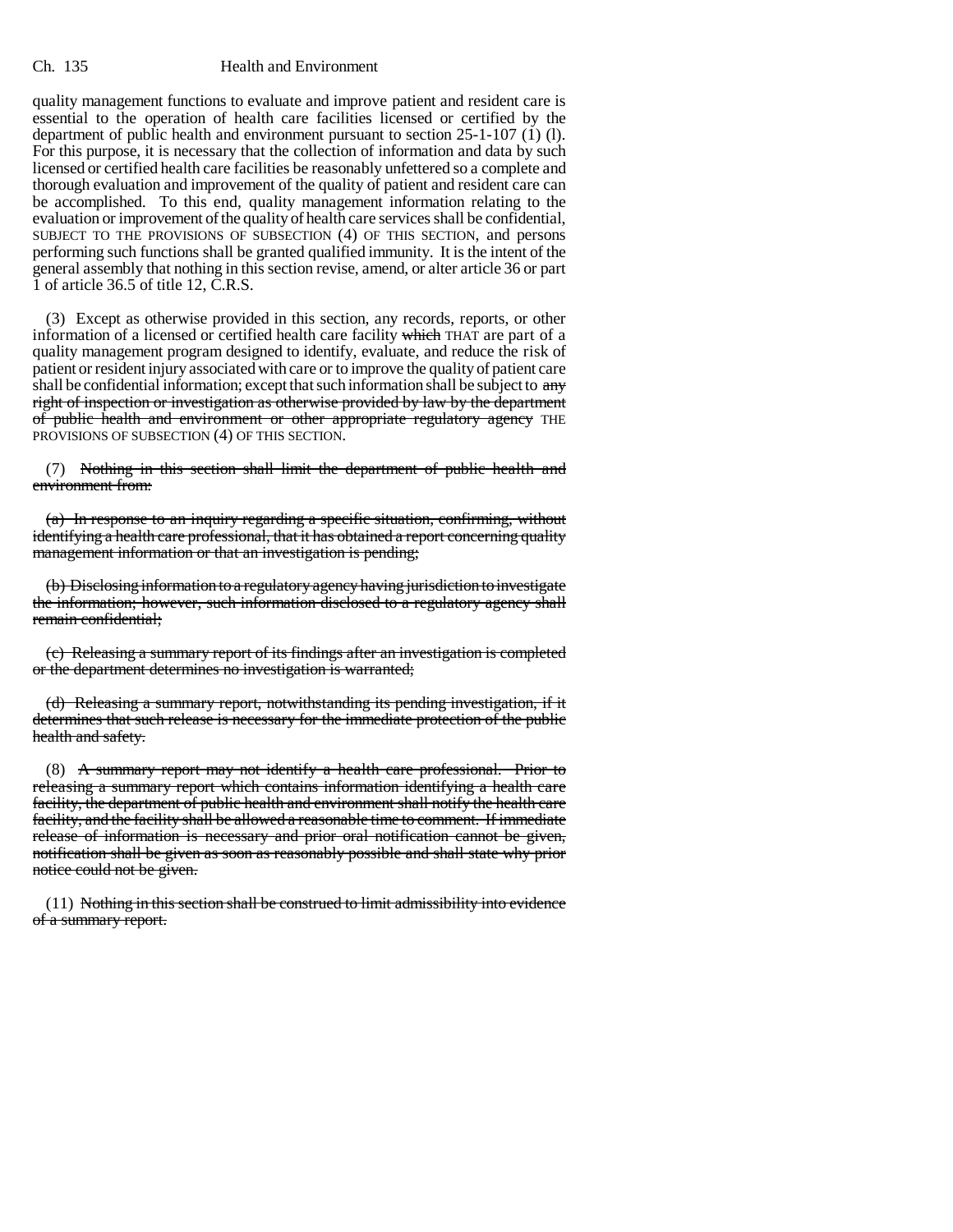## Ch. 135 Health and Environment

quality management functions to evaluate and improve patient and resident care is essential to the operation of health care facilities licensed or certified by the department of public health and environment pursuant to section 25-1-107 (1) (l). For this purpose, it is necessary that the collection of information and data by such licensed or certified health care facilities be reasonably unfettered so a complete and thorough evaluation and improvement of the quality of patient and resident care can be accomplished. To this end, quality management information relating to the evaluation or improvement of the quality of health care services shall be confidential, SUBJECT TO THE PROVISIONS OF SUBSECTION (4) OF THIS SECTION, and persons performing such functions shall be granted qualified immunity. It is the intent of the general assembly that nothing in this section revise, amend, or alter article 36 or part 1 of article  $36.5$  of title 12, C.R.S.

(3) Except as otherwise provided in this section, any records, reports, or other information of a licensed or certified health care facility which THAT are part of a quality management program designed to identify, evaluate, and reduce the risk of patient or resident injury associated with care or to improve the quality of patient care shall be confidential information; except that such information shall be subject to any right of inspection or investigation as otherwise provided by law by the department of public health and environment or other appropriate regulatory agency THE PROVISIONS OF SUBSECTION (4) OF THIS SECTION.

(7) Nothing in this section shall limit the department of public health and environment from:

(a) In response to an inquiry regarding a specific situation, confirming, without identifying a health care professional, that it has obtained a report concerning quality management information or that an investigation is pending;

(b) Disclosing information to a regulatory agency having jurisdiction to investigate the information; however, such information disclosed to a regulatory agency shall remain confidential;

(c) Releasing a summary report of its findings after an investigation is completed or the department determines no investigation is warranted;

(d) Releasing a summary report, notwithstanding its pending investigation, if it determines that such release is necessary for the immediate protection of the public health and safety.

(8) A summary report may not identify a health care professional. Prior to releasing a summary report which contains information identifying a health care facility, the department of public health and environment shall notify the health care facility, and the facility shall be allowed a reasonable time to comment. If immediate release of information is necessary and prior oral notification cannot be given, notification shall be given as soon as reasonably possible and shall state why prior notice could not be given.

(11) Nothing in this section shall be construed to limit admissibility into evidence of a summary report.